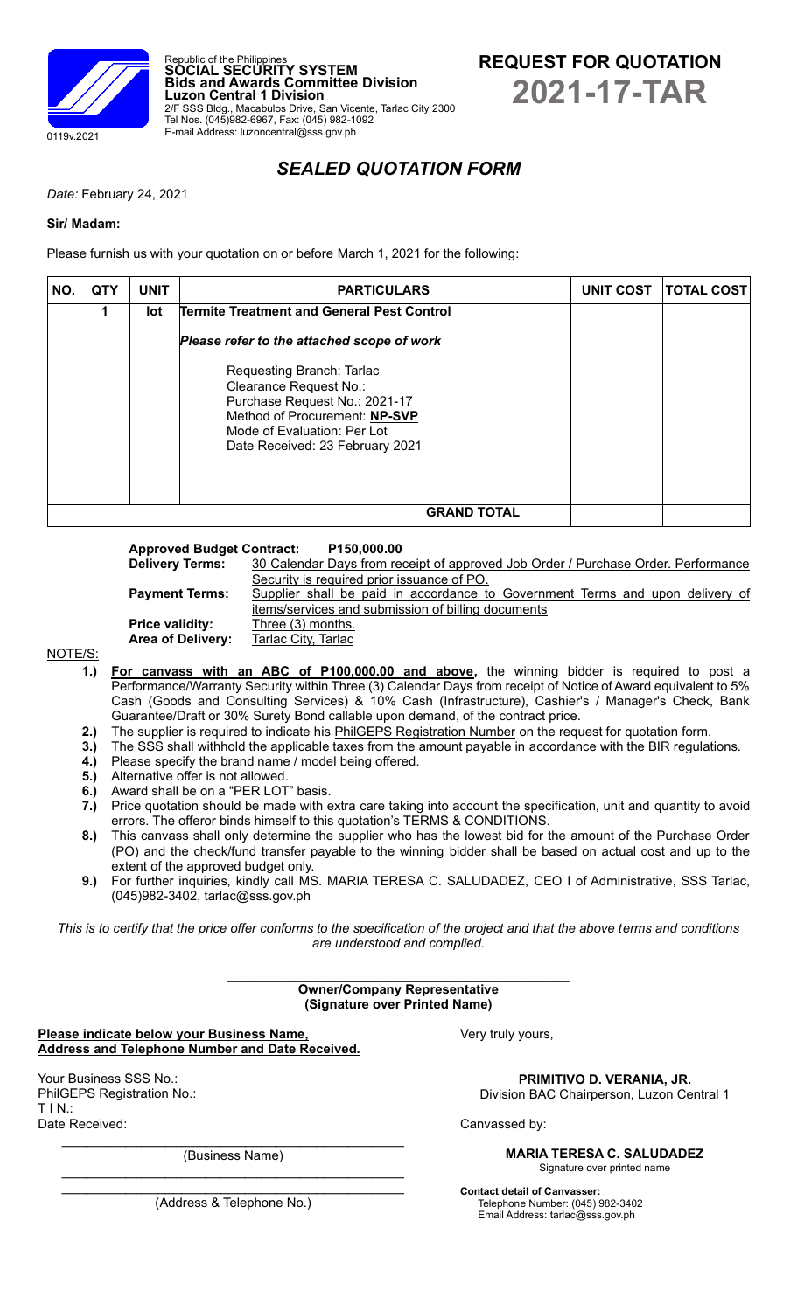



# *SEALED QUOTATION FORM*

*Date:* February 24, 2021

## **Sir/ Madam:**

Please furnish us with your quotation on or before March 1, 2021 for the following:

Republic of the Philippines **SOCIAL SECURITY SYSTEM**

Tel Nos. (045)982-6967, Fax: (045) 982-1092 E-mail Address: luzoncentral@sss.gov.ph

**Luzon Central 1 Division**

| NO.                | <b>QTY</b> | <b>UNIT</b> | <b>PARTICULARS</b>                                                                                                                                                                      | <b>UNIT COST</b> | <b>TOTAL COST</b> |  |
|--------------------|------------|-------------|-----------------------------------------------------------------------------------------------------------------------------------------------------------------------------------------|------------------|-------------------|--|
|                    | 1          | lot         | Termite Treatment and General Pest Control                                                                                                                                              |                  |                   |  |
|                    |            |             | Please refer to the attached scope of work                                                                                                                                              |                  |                   |  |
|                    |            |             | Requesting Branch: Tarlac<br>Clearance Request No.:<br>Purchase Request No.: 2021-17<br>Method of Procurement: NP-SVP<br>Mode of Evaluation: Per Lot<br>Date Received: 23 February 2021 |                  |                   |  |
| <b>GRAND TOTAL</b> |            |             |                                                                                                                                                                                         |                  |                   |  |

**Approved Budget Contract: P150,000.00 Delivery Terms:** 30 Calendar Days from receipt of approved Job Order / Purchase Order. Performance Security is required prior issuance of PO. **Payment Terms:** Supplier shall be paid in accordance to Government Terms and upon delivery of items/services and submission of billing documents **Price validity:** Three (3) months. Area of Delivery: Tarlac City, Tarlac

NOTE/S:

- **1.) For canvass with an ABC of P100,000.00 and above,** the winning bidder is required to post a Performance/Warranty Security within Three (3) Calendar Days from receipt of Notice of Award equivalent to 5% Cash (Goods and Consulting Services) & 10% Cash (Infrastructure), Cashier's / Manager's Check, Bank Guarantee/Draft or 30% Surety Bond callable upon demand, of the contract price.
- **2.)** The supplier is required to indicate his PhilGEPS Registration Number on the request for quotation form.
- **3.)** The SSS shall withhold the applicable taxes from the amount payable in accordance with the BIR regulations.<br>**4.)** Please specify the brand name / model being offered.
- Please specify the brand name / model being offered.
- **5.)** Alternative offer is not allowed.
- **6.)** Award shall be on a "PER LOT" basis.
- **7.)** Price quotation should be made with extra care taking into account the specification, unit and quantity to avoid errors. The offeror binds himself to this quotation's TERMS & CONDITIONS.
- **8.)** This canvass shall only determine the supplier who has the lowest bid for the amount of the Purchase Order (PO) and the check/fund transfer payable to the winning bidder shall be based on actual cost and up to the extent of the approved budget only.
- **9.)** For further inquiries, kindly call MS. MARIA TERESA C. SALUDADEZ, CEO I of Administrative, SSS Tarlac, (045)982-3402, tarlac@sss.gov.ph

*This is to certify that the price offer conforms to the specification of the project and that the above terms and conditions are understood and complied.*

> **Owner/Company Representative (Signature over Printed Name)**

**Please indicate below your Business Name, Address and Telephone Number and Date Received.**

Your Business SSS No.: PhilGEPS Registration No.:  $T IN.$ Date Received:

> $\mathcal{L}_\text{max}$  , where  $\mathcal{L}_\text{max}$  and  $\mathcal{L}_\text{max}$  and  $\mathcal{L}_\text{max}$ (Business Name)  $\mathcal{L}_\text{max}$  , where  $\mathcal{L}_\text{max}$  is the set of the set of the set of the set of the set of the set of the set of the set of the set of the set of the set of the set of the set of the set of the set of the set of the se

Very truly yours,

## **PRIMITIVO D. VERANIA, JR.**

Division BAC Chairperson, Luzon Central 1

Canvassed by:

**MARIA TERESA C. SALUDADEZ** Signature over printed name

**Contact detail of Canvasser:** Telephone Number: (045) 982-3402 Email Address: tarlac@sss.gov.ph

 $\mathcal{L}_\text{max}$  , where  $\mathcal{L}_\text{max}$  and  $\mathcal{L}_\text{max}$  and  $\mathcal{L}_\text{max}$ (Address & Telephone No.)